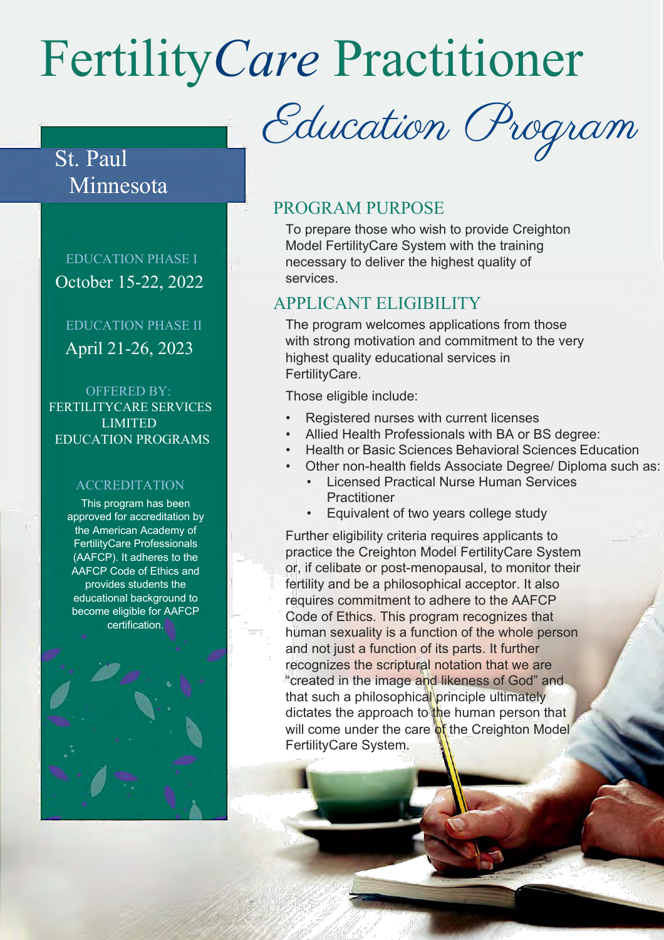# Fertility*Care* Practitioner

St. Paul Minnesota

 EDUCATION PHASE I October 15-22, 2022

 EDUCATION PHASE II April 21-26, 2023

 OFFERED BY: FERTILITYCARE SERVICES LIMITED EDUCATION PROGRAMS

#### ACCREDITATION

This program has been approved for accreditation by the American Academy of FertilityCare Professionals (AAFCP). It adheres to the AAFCP Code of Ethics and provides students the educational background to become eligible for AAFCP certification.

Education Program

#### PROGRAM PURPOSE

To prepare those who wish to provide Creighton Model FertilityCare System with the training necessary to deliver the highest quality of services.

#### APPLICANT ELIGIBILITY

The program welcomes applications from those with strong motivation and commitment to the very highest quality educational services in FertilityCare.

Those eligible include:

- Registered nurses with current licenses
- Allied Health Professionals with BA or BS degree:
- Health or Basic Sciences Behavioral Sciences Education
	- Other non-health fields Associate Degree/ Diploma such as:
		- Licensed Practical Nurse Human Services **Practitioner**
		- Equivalent of two years college study

Further eligibility criteria requires applicants to practice the Creighton Model FertilityCare System or, if celibate or post-menopausal, to monitor their fertility and be a philosophical acceptor. It also requires commitment to adhere to the AAFCP Code of Ethics. This program recognizes that human sexuality is a function of the whole person and not just a function of its parts. It further recognizes the scriptural notation that we are "created in the image and likeness of God" and that such a philosophical principle ultimately dictates the approach to the human person that will come under the care of the Creighton Model FertilityCare System.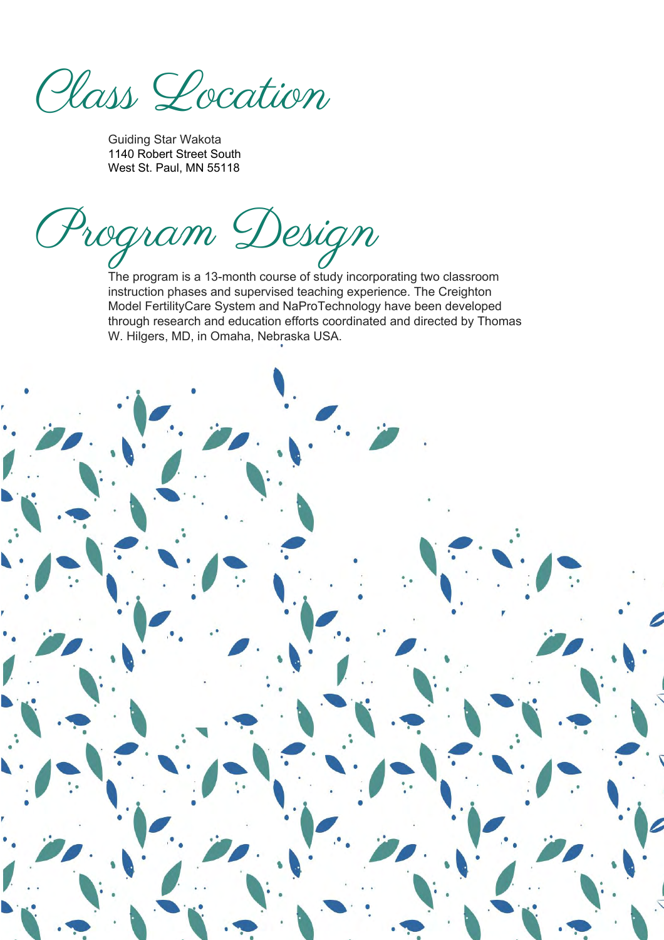Class Location

Guiding Star Wakota 1140 Robert Street South West St. Paul, MN 55118

Program Design

The program is a 13-month course of study incorporating two classroom instruction phases and supervised teaching experience. The Creighton Model FertilityCare System and NaProTechnology have been developed through research and education efforts coordinated and directed by Thomas W. Hilgers, MD, in Omaha, Nebraska USA.

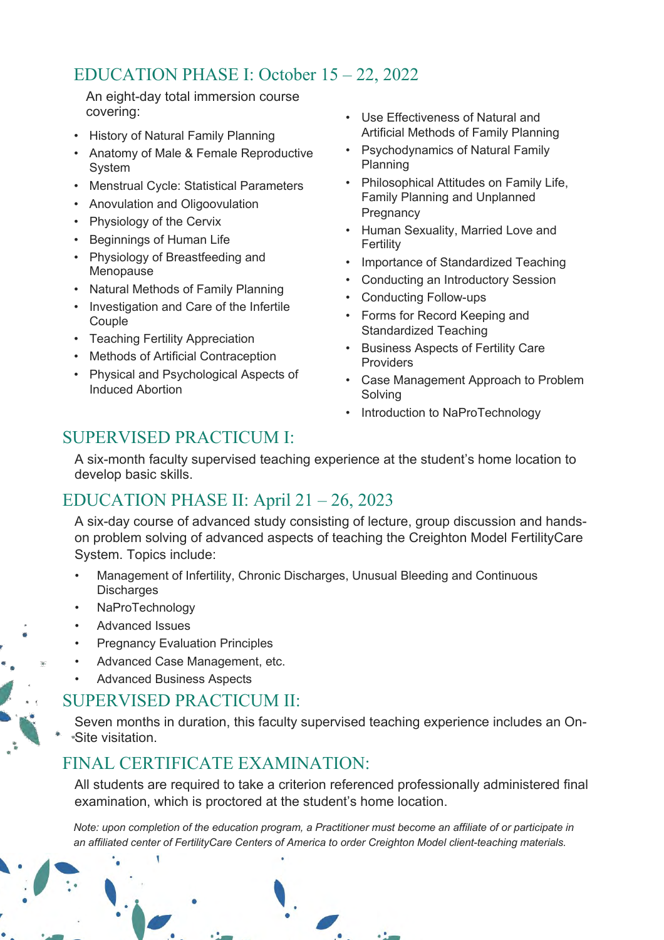## EDUCATION PHASE I: October 15 – 22, 2022

An eight-day total immersion course covering:

- History of Natural Family Planning
- Anatomy of Male & Female Reproductive System
- Menstrual Cycle: Statistical Parameters
- Anovulation and Oligoovulation
- Physiology of the Cervix
- Beginnings of Human Life
- Physiology of Breastfeeding and Menopause
- Natural Methods of Family Planning
- Investigation and Care of the Infertile Couple
- Teaching Fertility Appreciation
- Methods of Artificial Contraception
- Physical and Psychological Aspects of Induced Abortion
- Use Effectiveness of Natural and Artificial Methods of Family Planning
- Psychodynamics of Natural Family Planning
- Philosophical Attitudes on Family Life, Family Planning and Unplanned **Pregnancy**
- Human Sexuality, Married Love and Fertility
- Importance of Standardized Teaching
- Conducting an Introductory Session
- Conducting Follow-ups
- Forms for Record Keeping and Standardized Teaching
- Business Aspects of Fertility Care **Providers**
- Case Management Approach to Problem Solving
- Introduction to NaProTechnology

## SUPERVISED PRACTICUM I:

A six-month faculty supervised teaching experience at the student's home location to develop basic skills.

#### EDUCATION PHASE II: April 21 – 26, 2023

A six-day course of advanced study consisting of lecture, group discussion and handson problem solving of advanced aspects of teaching the Creighton Model FertilityCare System. Topics include:

- Management of Infertility, Chronic Discharges, Unusual Bleeding and Continuous **Discharges**
- NaProTechnology
- Advanced Issues
- Pregnancy Evaluation Principles
- Advanced Case Management, etc.
- Advanced Business Aspects

#### SUPERVISED PRACTICUM II:

Seven months in duration, this faculty supervised teaching experience includes an On-Site visitation.

## FINAL CERTIFICATE EXAMINATION:

All students are required to take a criterion referenced professionally administered final examination, which is proctored at the student's home location.

*Note: upon completion of the education program, a Practitioner must become an affiliate of or participate in an affiliated center of FertilityCare Centers of America to order Creighton Model client-teaching materials.*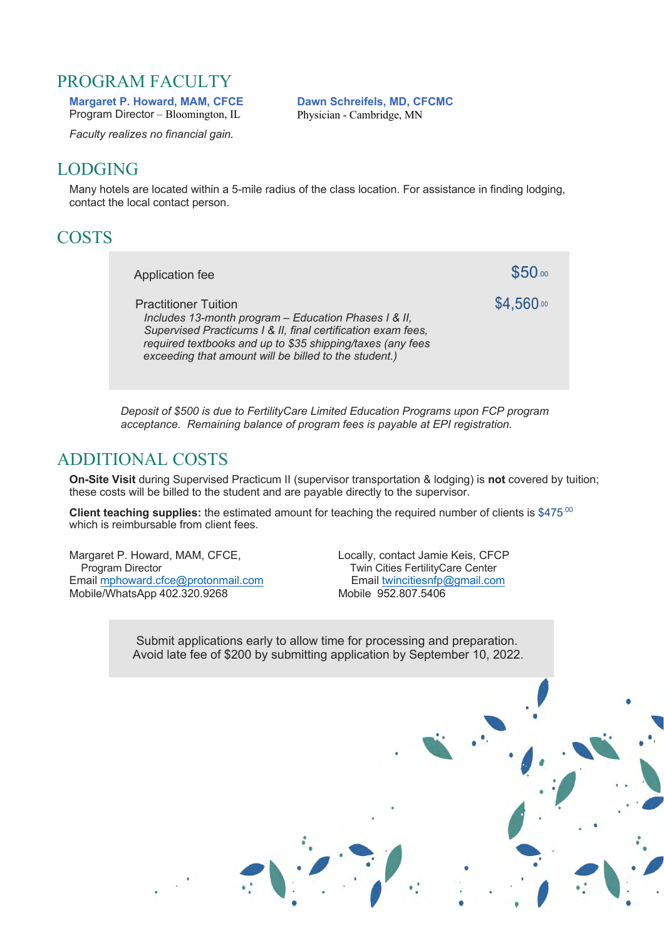### PROGRAM FACULTY

**Margaret P. Howard, MAM, CFCE**  Program Director – Bloomington, IL

*Faculty realizes no financial gain.*

**Dawn Schreifels, MD, CFCMC**  Physician - Cambridge, MN

## LODGING

Many hotels are located within a 5-mile radius of the class location. For assistance in finding lodging, contact the local contact person.

## **COSTS**

Application fee  $$50.00$ Practitioner Tuition **\$4,560.00** *Includes 13-month program – Education Phases I & II, Supervised Practicums I & II, final certification exam fees, required textbooks and up to \$35 shipping/taxes (any fees exceeding that amount will be billed to the student.)*

*Deposit of \$500 is due to FertilityCare Limited Education Programs upon FCP program acceptance. Remaining balance of program fees is payable at EPI registration.* 

### ADDITIONAL COSTS

**On-Site Visit** during Supervised Practicum II (supervisor transportation & lodging) is **not** covered by tuition; these costs will be billed to the student and are payable directly to the supervisor.

**Client teaching supplies:** the estimated amount for teaching the required number of clients is \$475.00 which is reimbursable from client fees.

Margaret P. Howard, MAM, CFCE, Locally, contact Jamie Keis, CFCP<br>Program Director Twin Cities FertilityCare Center Email mphoward.cfce@protonmail.com Mobile/WhatsApp 402.320.9268 Mobile 952.807.5406

Twin Cities FertilityCare Center<br>Email twincitiesnfp@gmail.com

Submit applications early to allow time for processing and preparation. Avoid late fee of \$200 by submitting application by September 10, 2022.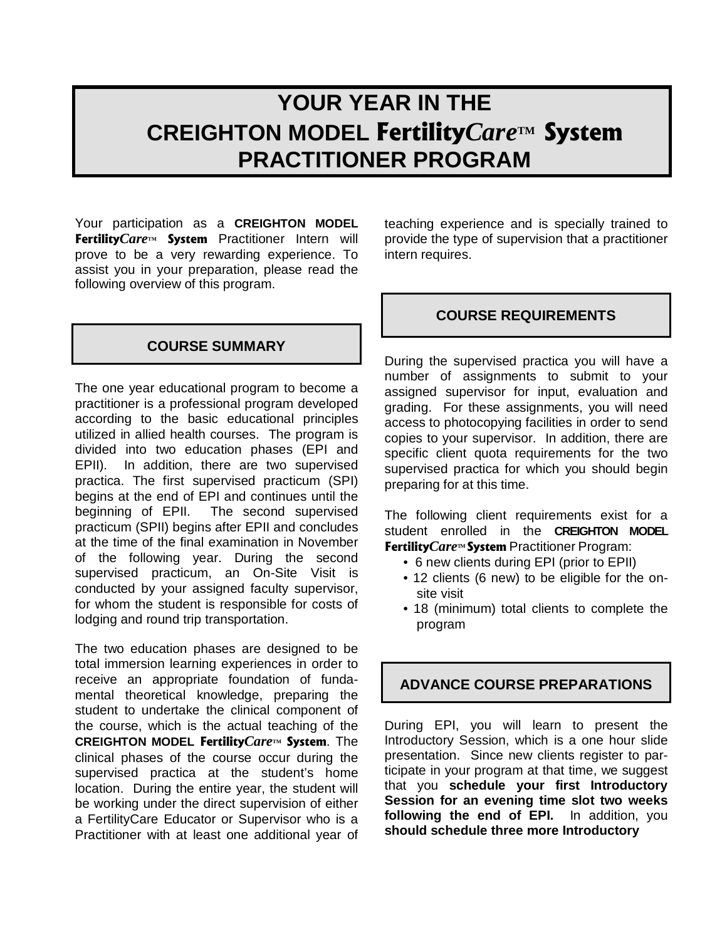## **YOUR YEAR IN THE CREIGHTON MODEL** Fertility*Care***TM** System **PRACTITIONER PROGRAM**

Your participation as a **CREIGHTON MODEL** Fertility Care<sup>TM</sup> System Practitioner Intern will prove to be a very rewarding experience. To assist you in your preparation, please read the following overview of this program.

#### **COURSE SUMMARY**

The one year educational program to become a practitioner is a professional program developed according to the basic educational principles utilized in allied health courses. The program is divided into two education phases (EPI and EPII). In addition, there are two supervised practica. The first supervised practicum (SPI) begins at the end of EPI and continues until the beginning of EPII. The second supervised practicum (SPII) begins after EPII and concludes at the time of the final examination in November of the following year. During the second supervised practicum, an On-Site Visit is conducted by your assigned faculty supervisor, for whom the student is responsible for costs of lodging and round trip transportation.

The two education phases are designed to be total immersion learning experiences in order to receive an appropriate foundation of fundamental theoretical knowledge, preparing the student to undertake the clinical component of the course, which is the actual teaching of the CREIGHTON MODEL Fertility Care™ System. The clinical phases of the course occur during the supervised practica at the student's home location. During the entire year, the student will be working under the direct supervision of either a FertilityCare Educator or Supervisor who is a Practitioner with at least one additional year of

teaching experience and is specially trained to provide the type of supervision that a practitioner intern requires.

#### **COURSE REQUIREMENTS**

During the supervised practica you will have a number of assignments to submit to your assigned supervisor for input, evaluation and grading. For these assignments, you will need access to photocopying facilities in order to send copies to your supervisor. In addition, there are specific client quota requirements for the two supervised practica for which you should begin preparing for at this time.

The following client requirements exist for a student enrolled in the **CREIGHTON MODEL** Fertility Care<sup>M</sup> System Practitioner Program:

- 6 new clients during EPI (prior to EPII)
- 12 clients (6 new) to be eligible for the onsite visit
- 18 (minimum) total clients to complete the program

#### **ADVANCE COURSE PREPARATIONS**

During EPI, you will learn to present the Introductory Session, which is a one hour slide presentation. Since new clients register to participate in your program at that time, we suggest that you **schedule your first Introductory Session for an evening time slot two weeks following the end of EPI.** In addition, you **should schedule three more Introductory**